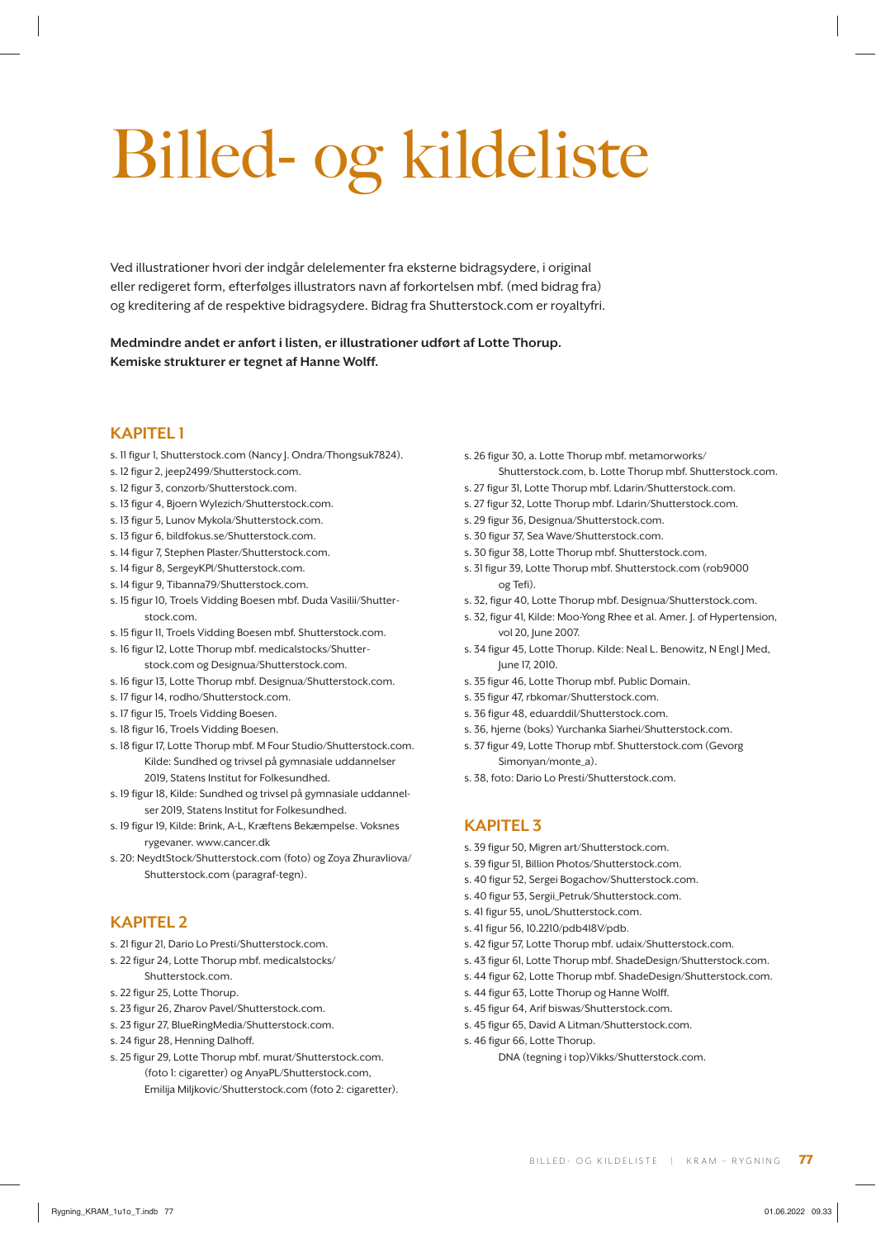# Billed- og kildeliste

Ved illustrationer hvori der indgår delelementer fra eksterne bidragsydere, i original eller redigeret form, efterfølges illustrators navn af forkortelsen mbf. (med bidrag fra) og kreditering af de respektive bidragsydere. Bidrag fra Shutterstock.com er royaltyfri.

**Medmindre andet er anført i listen, er illustrationer udført af Lotte Thorup. Kemiske strukturer er tegnet af Hanne Wolff.**

### **KAPITEL 1**

- s. 11 figur 1, Shutterstock.com (Nancy J. Ondra/Thongsuk7824).
- s. 12 figur 2, jeep2499/Shutterstock.com.
- s. 12 figur 3, conzorb/Shutterstock.com.
- s. 13 figur 4, Bjoern Wylezich/Shutterstock.com.
- s. 13 figur 5, Lunov Mykola/Shutterstock.com.
- s. 13 figur 6, bildfokus.se/Shutterstock.com.
- s. 14 figur 7, Stephen Plaster/Shutterstock.com.
- s. 14 figur 8, SergeyKPI/Shutterstock.com.
- s. 14 figur 9, Tibanna79/Shutterstock.com.
- s. 15 figur 10, Troels Vidding Boesen mbf. Duda Vasilii/Shutterstock.com.
- s. 15 figur 11, Troels Vidding Boesen mbf. Shutterstock.com.
- s. 16 figur 12, Lotte Thorup mbf. medicalstocks/Shutterstock.com og Designua/Shutterstock.com.
- s. 16 figur 13, Lotte Thorup mbf. Designua/Shutterstock.com.
- s. 17 figur 14, rodho/Shutterstock.com.
- s. 17 figur 15, Troels Vidding Boesen.
- s. 18 figur 16, Troels Vidding Boesen.
- s. 18 figur 17, Lotte Thorup mbf. M Four Studio/Shutterstock.com. Kilde: Sundhed og trivsel på gymnasiale uddannelser 2019, Statens Institut for Folkesundhed.
- s. 19 figur 18, Kilde: Sundhed og trivsel på gymnasiale uddannelser 2019, Statens Institut for Folkesundhed.
- s. 19 figur 19, Kilde: Brink, A-L, Kræftens Bekæmpelse. Voksnes rygevaner. www.cancer.dk
- s. 20: NeydtStock/Shutterstock.com (foto) og Zoya Zhuravliova/ Shutterstock.com (paragraf-tegn).

### **KAPITEL 2**

- s. 21 figur 21, Dario Lo Presti/Shutterstock.com.
- s. 22 figur 24, Lotte Thorup mbf. medicalstocks/ Shutterstock.com.
- s. 22 figur 25, Lotte Thorup.
- s. 23 figur 26, Zharov Pavel/Shutterstock.com.
- s. 23 figur 27, BlueRingMedia/Shutterstock.com.
- s. 24 figur 28, Henning Dalhoff.
- s. 25 figur 29, Lotte Thorup mbf. murat/Shutterstock.com. (foto 1: cigaretter) og AnyaPL/Shutterstock.com, Emilija Miljkovic/Shutterstock.com (foto 2: cigaretter).
- s. 26 figur 30, a. Lotte Thorup mbf. metamorworks/ Shutterstock.com, b. Lotte Thorup mbf. Shutterstock.com.
- s. 27 figur 31, Lotte Thorup mbf. Ldarin/Shutterstock.com.
- s. 27 figur 32, Lotte Thorup mbf. Ldarin/Shutterstock.com.
- s. 29 figur 36, Designua/Shutterstock.com.
- s. 30 figur 37, Sea Wave/Shutterstock.com.
- s. 30 figur 38, Lotte Thorup mbf. Shutterstock.com.
- s. 31 figur 39, Lotte Thorup mbf. Shutterstock.com (rob9000 og Tefi).
- s. 32, figur 40, Lotte Thorup mbf. Designua/Shutterstock.com.
- s. 32, figur 41, Kilde: Moo-Yong Rhee et al. Amer. J. of Hypertension, vol 20, June 2007.
- s. 34 figur 45, Lotte Thorup. Kilde: Neal L. Benowitz, N Engl J Med, June 17, 2010.
- s. 35 figur 46, Lotte Thorup mbf. Public Domain.
- s. 35 figur 47, rbkomar/Shutterstock.com.
- s. 36 figur 48, eduarddil/Shutterstock.com.
- s. 36, hjerne (boks) Yurchanka Siarhei/Shutterstock.com.
- s. 37 figur 49, Lotte Thorup mbf. Shutterstock.com (Gevorg Simonyan/monte\_a).
- s. 38, foto: Dario Lo Presti/Shutterstock.com.

### **KAPITEL 3**

- s. 39 figur 50, Migren art/Shutterstock.com.
- s. 39 figur 51, Billion Photos/Shutterstock.com.
- s. 40 figur 52, Sergei Bogachov/Shutterstock.com.
- s. 40 figur 53. Sergii Petruk/Shutterstock.com.
- s. 41 figur 55, unoL/Shutterstock.com.
- s. 41 figur 56, 10.2210/pdb4I8V/pdb.
- s. 42 figur 57, Lotte Thorup mbf. udaix/Shutterstock.com.
- s. 43 figur 61, Lotte Thorup mbf. ShadeDesign/Shutterstock.com.
- s. 44 figur 62, Lotte Thorup mbf. ShadeDesign/Shutterstock.com.
- s. 44 figur 63, Lotte Thorup og Hanne Wolff.
- s. 45 figur 64, Arif biswas/Shutterstock.com.
- s. 45 figur 65, David A Litman/Shutterstock.com.
- s. 46 figur 66, Lotte Thorup.
	- DNA (tegning i top)Vikks/Shutterstock.com.